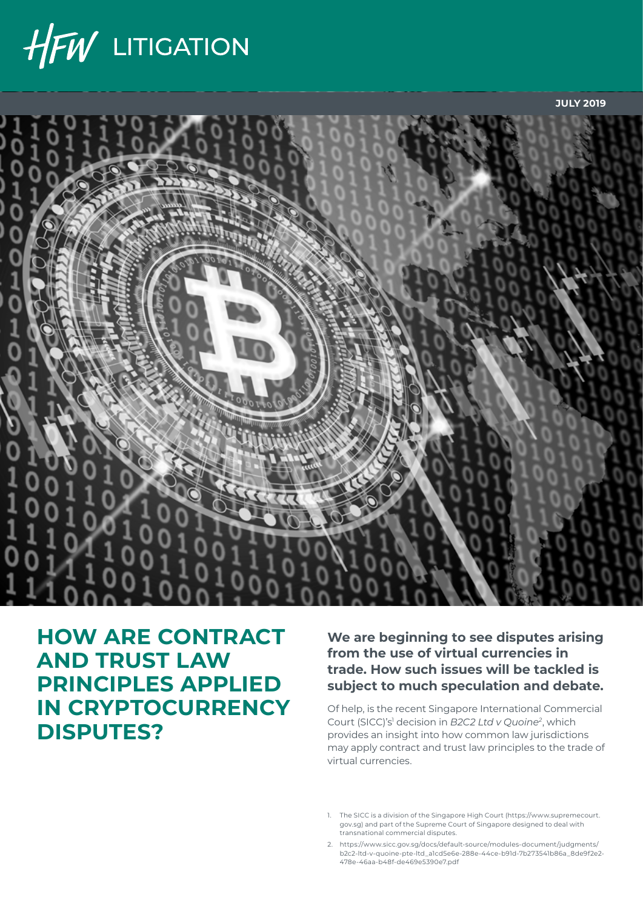



# **HOW ARE CONTRACT AND TRUST LAW PRINCIPLES APPLIED IN CRYPTOCURRENCY DISPUTES?**

**We are beginning to see disputes arising from the use of virtual currencies in trade. How such issues will be tackled is subject to much speculation and debate.** 

Of help, is the recent Singapore International Commercial Court (SICC)'s1 decision in *B2C2 Ltd v Quoine2*, which provides an insight into how common law jurisdictions may apply contract and trust law principles to the trade of virtual currencies.

- 1. The SICC is a division of the Singapore High Court ([https://www.supremecourt.](https://www.supremecourt.gov.sg) [gov.sg\)](https://www.supremecourt.gov.sg) and part of the Supreme Court of Singapore designed to deal with transnational commercial disputes.
- 2. [https://www.sicc.gov.sg/docs/default-source/modules-document/judgments/](https://www.sicc.gov.sg/docs/default-source/modules-document/judgments/b2c2-ltd-v-quoine-pte-ltd_a1cd5e6e-288e-44ce-b91d-7b273541b86a_8de9f2e2-478e-46aa-b48f-de469e5390e7.pdf) [b2c2-ltd-v-quoine-pte-ltd\\_a1cd5e6e-288e-44ce-b91d-7b273541b86a\\_8de9f2e2-](https://www.sicc.gov.sg/docs/default-source/modules-document/judgments/b2c2-ltd-v-quoine-pte-ltd_a1cd5e6e-288e-44ce-b91d-7b273541b86a_8de9f2e2-478e-46aa-b48f-de469e5390e7.pdf) [478e-46aa-b48f-de469e5390e7.pdf](https://www.sicc.gov.sg/docs/default-source/modules-document/judgments/b2c2-ltd-v-quoine-pte-ltd_a1cd5e6e-288e-44ce-b91d-7b273541b86a_8de9f2e2-478e-46aa-b48f-de469e5390e7.pdf)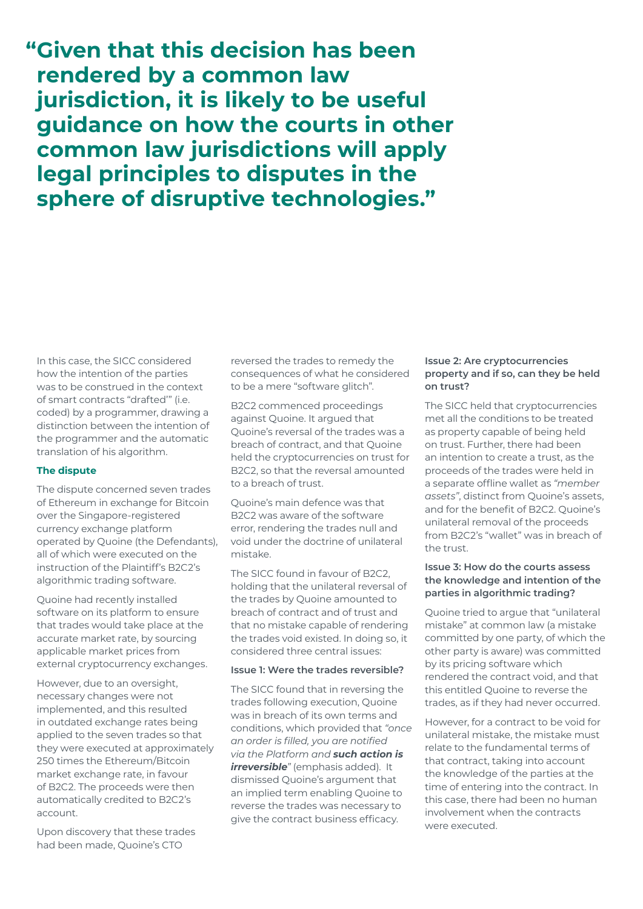**"Given that this decision has been rendered by a common law jurisdiction, it is likely to be useful guidance on how the courts in other common law jurisdictions will apply legal principles to disputes in the sphere of disruptive technologies."**

In this case, the SICC considered how the intention of the parties was to be construed in the context of smart contracts "drafted'" (i.e. coded) by a programmer, drawing a distinction between the intention of the programmer and the automatic translation of his algorithm.

## **The dispute**

The dispute concerned seven trades of Ethereum in exchange for Bitcoin over the Singapore-registered currency exchange platform operated by Quoine (the Defendants), all of which were executed on the instruction of the Plaintiff's B2C2's algorithmic trading software.

Quoine had recently installed software on its platform to ensure that trades would take place at the accurate market rate, by sourcing applicable market prices from external cryptocurrency exchanges.

However, due to an oversight, necessary changes were not implemented, and this resulted in outdated exchange rates being applied to the seven trades so that they were executed at approximately 250 times the Ethereum/Bitcoin market exchange rate, in favour of B2C2. The proceeds were then automatically credited to B2C2's account.

Upon discovery that these trades had been made, Quoine's CTO

reversed the trades to remedy the consequences of what he considered to be a mere "software glitch".

B2C2 commenced proceedings against Quoine. It argued that Quoine's reversal of the trades was a breach of contract, and that Quoine held the cryptocurrencies on trust for B2C2, so that the reversal amounted to a breach of trust.

Quoine's main defence was that B2C2 was aware of the software error, rendering the trades null and void under the doctrine of unilateral mistake.

The SICC found in favour of B2C2, holding that the unilateral reversal of the trades by Quoine amounted to breach of contract and of trust and that no mistake capable of rendering the trades void existed. In doing so, it considered three central issues:

## **Issue 1: Were the trades reversible?**

The SICC found that in reversing the trades following execution, Quoine was in breach of its own terms and conditions, which provided that *"once an order is filled, you are notified via the Platform and such action is irreversible*<sup>"</sup> (emphasis added). It dismissed Quoine's argument that an implied term enabling Quoine to reverse the trades was necessary to give the contract business efficacy.

## **Issue 2: Are cryptocurrencies property and if so, can they be held on trust?**

The SICC held that cryptocurrencies met all the conditions to be treated as property capable of being held on trust. Further, there had been an intention to create a trust, as the proceeds of the trades were held in a separate offline wallet as *"member assets"*, distinct from Quoine's assets, and for the benefit of B2C2. Quoine's unilateral removal of the proceeds from B2C2's "wallet" was in breach of the trust.

## **Issue 3: How do the courts assess the knowledge and intention of the parties in algorithmic trading?**

Quoine tried to argue that "unilateral mistake" at common law (a mistake committed by one party, of which the other party is aware) was committed by its pricing software which rendered the contract void, and that this entitled Quoine to reverse the trades, as if they had never occurred.

However, for a contract to be void for unilateral mistake, the mistake must relate to the fundamental terms of that contract, taking into account the knowledge of the parties at the time of entering into the contract. In this case, there had been no human involvement when the contracts were executed.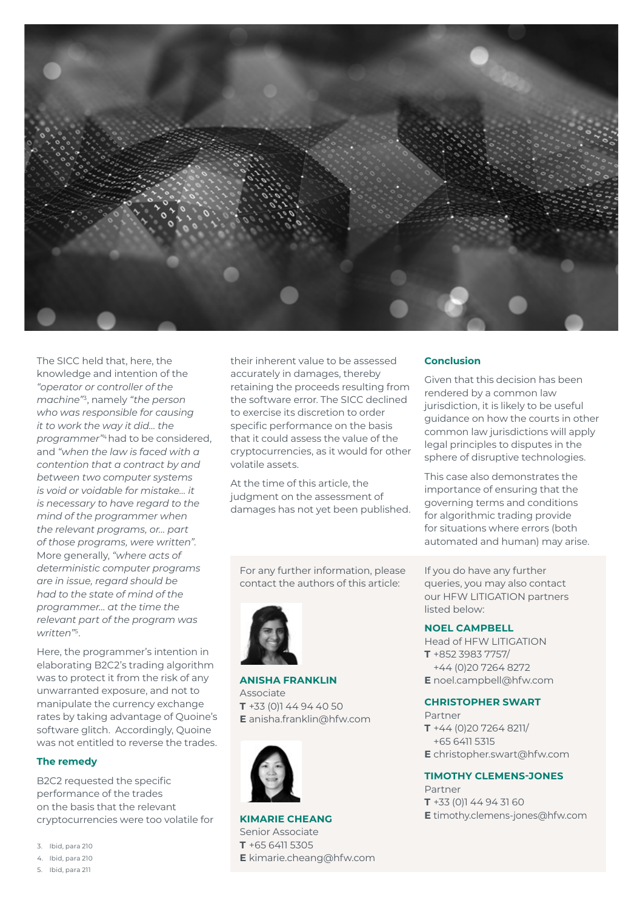

The SICC held that, here, the knowledge and intention of the *"operator or controller of the machine"*3, namely *"the person who was responsible for causing it to work the way it did… the programmer"*4 had to be considered, and *"when the law is faced with a contention that a contract by and between two computer systems is void or voidable for mistake… it is necessary to have regard to the mind of the programmer when the relevant programs, or… part of those programs, were written".* More generally, *"where acts of deterministic computer programs are in issue, regard should be had to the state of mind of the programmer… at the time the relevant part of the program was written"*5.

Here, the programmer's intention in elaborating B2C2's trading algorithm was to protect it from the risk of any unwarranted exposure, and not to manipulate the currency exchange rates by taking advantage of Quoine's software glitch. Accordingly, Quoine was not entitled to reverse the trades.

# **The remedy**

B2C2 requested the specific performance of the trades on the basis that the relevant cryptocurrencies were too volatile for

- 3. Ibid, para 210
- 4. Ibid, para 210

their inherent value to be assessed accurately in damages, thereby retaining the proceeds resulting from the software error. The SICC declined to exercise its discretion to order specific performance on the basis that it could assess the value of the cryptocurrencies, as it would for other volatile assets.

At the time of this article, the judgment on the assessment of damages has not yet been published.

For any further information, please contact the authors of this article:



**ANISHA FRANKLIN** Associate **T** +33 (0)1 44 94 40 50 **E** anisha.franklin@hfw.com



**KIMARIE CHEANG** Senior Associate **T** +65 6411 5305 **E** kimarie.cheang@hfw.com

#### **Conclusion**

Given that this decision has been rendered by a common law jurisdiction, it is likely to be useful guidance on how the courts in other common law jurisdictions will apply legal principles to disputes in the sphere of disruptive technologies.

This case also demonstrates the importance of ensuring that the governing terms and conditions for algorithmic trading provide for situations where errors (both automated and human) may arise.

If you do have any further queries, you may also contact our HFW LITIGATION partners listed below:

#### **NOEL CAMPBELL**

Head of HFW LITIGATION **T** +852 3983 7757/ +44 (0)20 7264 8272 **E** noel.campbell@hfw.com

#### **CHRISTOPHER SWART**

Partner **T** +44 (0)20 7264 8211/ +65 6411 5315 **E** christopher.swart@hfw.com

## **TIMOTHY CLEMENS-JONES**

Partner **T** +33 (0)1 44 94 31 60 **E** timothy.clemens-jones@hfw.com

<sup>5.</sup> Ibid, para 211